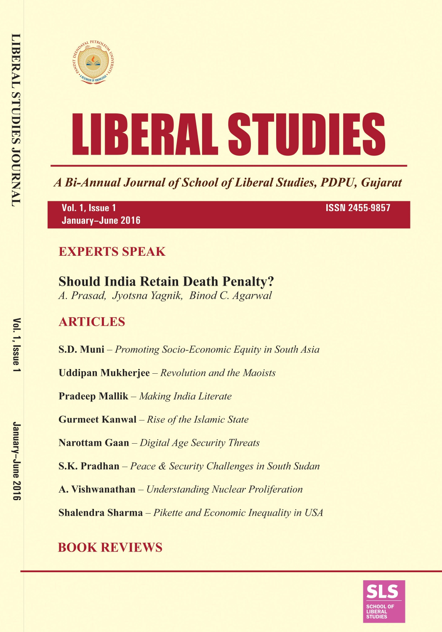



A Bi-Annual Journal of School of Liberal Studies, PDPU, Gujarat

Vol. 1, Issue 1 January-June 2016 **ISSN 2455-9857** 

### **EXPERTS SPEAK**

# **Should India Retain Death Penalty?**

A. Prasad, Jyotsna Yagnik, Binod C. Agarwal

### **ARTICLES**

**S.D. Muni** – Promoting Socio-Economic Equity in South Asia

**Uddipan Mukherjee** – Revolution and the Maoists

**Pradeep Mallik** – Making India Literate

**Gurmeet Kanwal** - Rise of the Islamic State

Narottam Gaan - Digital Age Security Threats

**S.K. Pradhan** – Peace & Security Challenges in South Sudan

A. Vishwanathan - Understanding Nuclear Proliferation

**Shalendra Sharma** - Pikette and Economic Inequality in USA

## **BOOK REVIEWS**

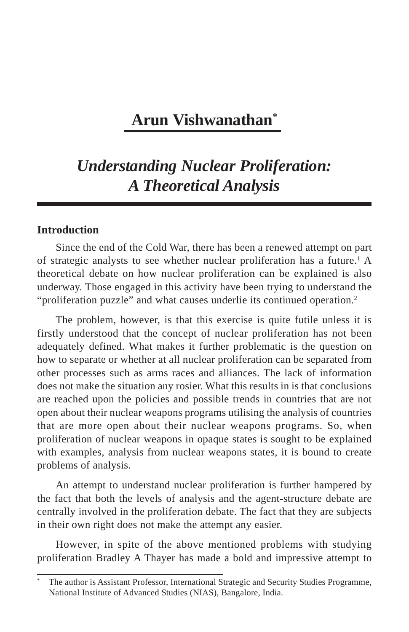### **Arun Vishwanathan\***

### *Understanding Nuclear Proliferation: A Theoretical Analysis*

#### **Introduction**

Since the end of the Cold War, there has been a renewed attempt on part of strategic analysts to see whether nuclear proliferation has a future.<sup>1</sup> A theoretical debate on how nuclear proliferation can be explained is also underway. Those engaged in this activity have been trying to understand the "proliferation puzzle" and what causes underlie its continued operation.2

The problem, however, is that this exercise is quite futile unless it is firstly understood that the concept of nuclear proliferation has not been adequately defined. What makes it further problematic is the question on how to separate or whether at all nuclear proliferation can be separated from other processes such as arms races and alliances. The lack of information does not make the situation any rosier. What this results in is that conclusions are reached upon the policies and possible trends in countries that are not open about their nuclear weapons programs utilising the analysis of countries that are more open about their nuclear weapons programs. So, when proliferation of nuclear weapons in opaque states is sought to be explained with examples, analysis from nuclear weapons states, it is bound to create problems of analysis.

An attempt to understand nuclear proliferation is further hampered by the fact that both the levels of analysis and the agent-structure debate are centrally involved in the proliferation debate. The fact that they are subjects in their own right does not make the attempt any easier.

However, in spite of the above mentioned problems with studying proliferation Bradley A Thayer has made a bold and impressive attempt to

The author is Assistant Professor, International Strategic and Security Studies Programme, National Institute of Advanced Studies (NIAS), Bangalore, India.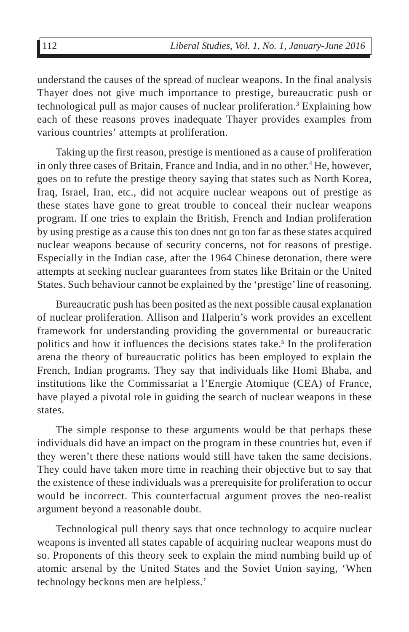understand the causes of the spread of nuclear weapons. In the final analysis Thayer does not give much importance to prestige, bureaucratic push or technological pull as major causes of nuclear proliferation.<sup>3</sup> Explaining how each of these reasons proves inadequate Thayer provides examples from various countries' attempts at proliferation.

Taking up the first reason, prestige is mentioned as a cause of proliferation in only three cases of Britain, France and India, and in no other.<sup>4</sup> He, however, goes on to refute the prestige theory saying that states such as North Korea, Iraq, Israel, Iran, etc., did not acquire nuclear weapons out of prestige as these states have gone to great trouble to conceal their nuclear weapons program. If one tries to explain the British, French and Indian proliferation by using prestige as a cause this too does not go too far as these states acquired nuclear weapons because of security concerns, not for reasons of prestige. Especially in the Indian case, after the 1964 Chinese detonation, there were attempts at seeking nuclear guarantees from states like Britain or the United States. Such behaviour cannot be explained by the 'prestige' line of reasoning.

Bureaucratic push has been posited as the next possible causal explanation of nuclear proliferation. Allison and Halperin's work provides an excellent framework for understanding providing the governmental or bureaucratic politics and how it influences the decisions states take.<sup>5</sup> In the proliferation arena the theory of bureaucratic politics has been employed to explain the French, Indian programs. They say that individuals like Homi Bhaba, and institutions like the Commissariat a l'Energie Atomique (CEA) of France, have played a pivotal role in guiding the search of nuclear weapons in these states.

The simple response to these arguments would be that perhaps these individuals did have an impact on the program in these countries but, even if they weren't there these nations would still have taken the same decisions. They could have taken more time in reaching their objective but to say that the existence of these individuals was a prerequisite for proliferation to occur would be incorrect. This counterfactual argument proves the neo-realist argument beyond a reasonable doubt.

Technological pull theory says that once technology to acquire nuclear weapons is invented all states capable of acquiring nuclear weapons must do so. Proponents of this theory seek to explain the mind numbing build up of atomic arsenal by the United States and the Soviet Union saying, 'When technology beckons men are helpless.'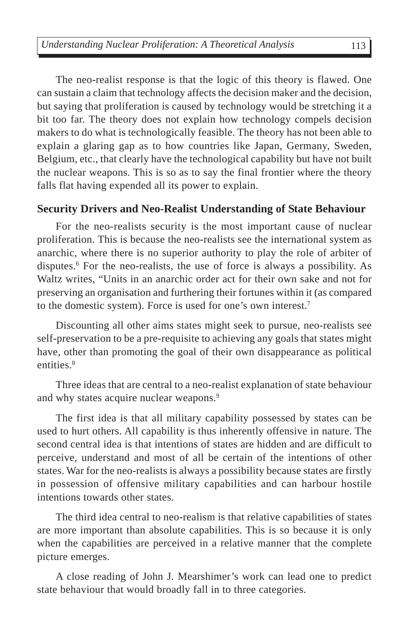The neo-realist response is that the logic of this theory is flawed. One can sustain a claim that technology affects the decision maker and the decision, but saying that proliferation is caused by technology would be stretching it a bit too far. The theory does not explain how technology compels decision makers to do what is technologically feasible. The theory has not been able to explain a glaring gap as to how countries like Japan, Germany, Sweden, Belgium, etc., that clearly have the technological capability but have not built the nuclear weapons. This is so as to say the final frontier where the theory falls flat having expended all its power to explain.

#### **Security Drivers and Neo-Realist Understanding of State Behaviour**

For the neo-realists security is the most important cause of nuclear proliferation. This is because the neo-realists see the international system as anarchic, where there is no superior authority to play the role of arbiter of disputes.<sup>6</sup> For the neo-realists, the use of force is always a possibility. As Waltz writes, "Units in an anarchic order act for their own sake and not for preserving an organisation and furthering their fortunes within it (as compared to the domestic system). Force is used for one's own interest.7

Discounting all other aims states might seek to pursue, neo-realists see self-preservation to be a pre-requisite to achieving any goals that states might have, other than promoting the goal of their own disappearance as political entities.<sup>8</sup>

Three ideas that are central to a neo-realist explanation of state behaviour and why states acquire nuclear weapons.<sup>9</sup>

The first idea is that all military capability possessed by states can be used to hurt others. All capability is thus inherently offensive in nature. The second central idea is that intentions of states are hidden and are difficult to perceive, understand and most of all be certain of the intentions of other states. War for the neo-realists is always a possibility because states are firstly in possession of offensive military capabilities and can harbour hostile intentions towards other states.

The third idea central to neo-realism is that relative capabilities of states are more important than absolute capabilities. This is so because it is only when the capabilities are perceived in a relative manner that the complete picture emerges.

A close reading of John J. Mearshimer's work can lead one to predict state behaviour that would broadly fall in to three categories.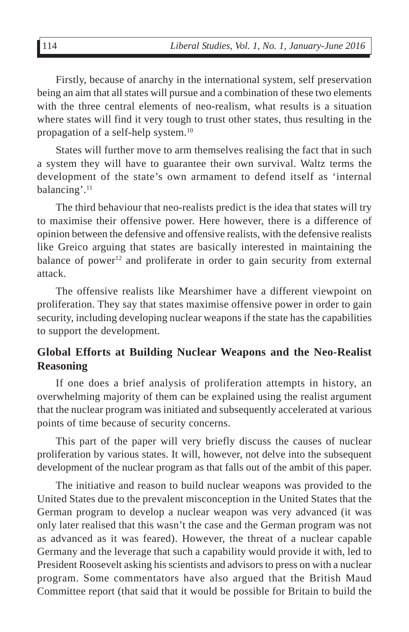Firstly, because of anarchy in the international system, self preservation being an aim that all states will pursue and a combination of these two elements with the three central elements of neo-realism, what results is a situation where states will find it very tough to trust other states, thus resulting in the propagation of a self-help system.10

States will further move to arm themselves realising the fact that in such a system they will have to guarantee their own survival. Waltz terms the development of the state's own armament to defend itself as 'internal balancing'.11

The third behaviour that neo-realists predict is the idea that states will try to maximise their offensive power. Here however, there is a difference of opinion between the defensive and offensive realists, with the defensive realists like Greico arguing that states are basically interested in maintaining the balance of power<sup>12</sup> and proliferate in order to gain security from external attack.

The offensive realists like Mearshimer have a different viewpoint on proliferation. They say that states maximise offensive power in order to gain security, including developing nuclear weapons if the state has the capabilities to support the development.

#### **Global Efforts at Building Nuclear Weapons and the Neo-Realist Reasoning**

If one does a brief analysis of proliferation attempts in history, an overwhelming majority of them can be explained using the realist argument that the nuclear program was initiated and subsequently accelerated at various points of time because of security concerns.

This part of the paper will very briefly discuss the causes of nuclear proliferation by various states. It will, however, not delve into the subsequent development of the nuclear program as that falls out of the ambit of this paper.

The initiative and reason to build nuclear weapons was provided to the United States due to the prevalent misconception in the United States that the German program to develop a nuclear weapon was very advanced (it was only later realised that this wasn't the case and the German program was not as advanced as it was feared). However, the threat of a nuclear capable Germany and the leverage that such a capability would provide it with, led to President Roosevelt asking his scientists and advisors to press on with a nuclear program. Some commentators have also argued that the British Maud Committee report (that said that it would be possible for Britain to build the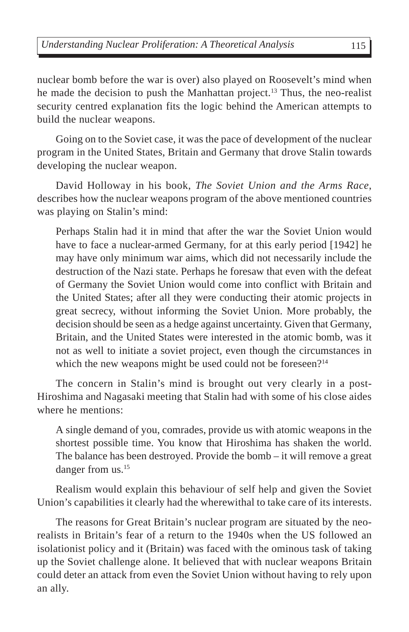nuclear bomb before the war is over) also played on Roosevelt's mind when he made the decision to push the Manhattan project.<sup>13</sup> Thus, the neo-realist security centred explanation fits the logic behind the American attempts to build the nuclear weapons.

Going on to the Soviet case, it was the pace of development of the nuclear program in the United States, Britain and Germany that drove Stalin towards developing the nuclear weapon.

David Holloway in his book, *The Soviet Union and the Arms Race*, describes how the nuclear weapons program of the above mentioned countries was playing on Stalin's mind:

Perhaps Stalin had it in mind that after the war the Soviet Union would have to face a nuclear-armed Germany, for at this early period [1942] he may have only minimum war aims, which did not necessarily include the destruction of the Nazi state. Perhaps he foresaw that even with the defeat of Germany the Soviet Union would come into conflict with Britain and the United States; after all they were conducting their atomic projects in great secrecy, without informing the Soviet Union. More probably, the decision should be seen as a hedge against uncertainty. Given that Germany, Britain, and the United States were interested in the atomic bomb, was it not as well to initiate a soviet project, even though the circumstances in which the new weapons might be used could not be foreseen?<sup>14</sup>

The concern in Stalin's mind is brought out very clearly in a post-Hiroshima and Nagasaki meeting that Stalin had with some of his close aides where he mentions:

A single demand of you, comrades, provide us with atomic weapons in the shortest possible time. You know that Hiroshima has shaken the world. The balance has been destroyed. Provide the bomb – it will remove a great danger from us.<sup>15</sup>

Realism would explain this behaviour of self help and given the Soviet Union's capabilities it clearly had the wherewithal to take care of its interests.

The reasons for Great Britain's nuclear program are situated by the neorealists in Britain's fear of a return to the 1940s when the US followed an isolationist policy and it (Britain) was faced with the ominous task of taking up the Soviet challenge alone. It believed that with nuclear weapons Britain could deter an attack from even the Soviet Union without having to rely upon an ally.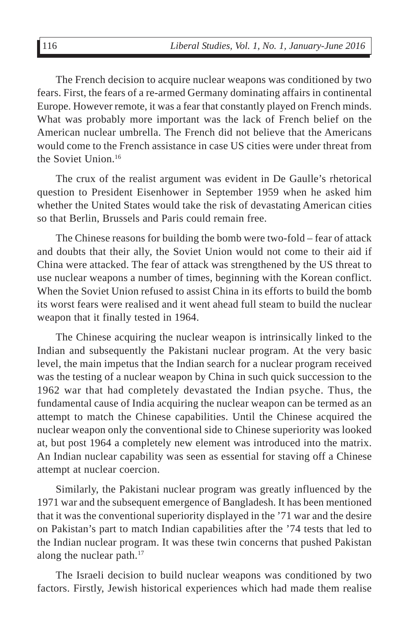The French decision to acquire nuclear weapons was conditioned by two fears. First, the fears of a re-armed Germany dominating affairs in continental Europe. However remote, it was a fear that constantly played on French minds. What was probably more important was the lack of French belief on the American nuclear umbrella. The French did not believe that the Americans would come to the French assistance in case US cities were under threat from the Soviet Union.16

The crux of the realist argument was evident in De Gaulle's rhetorical question to President Eisenhower in September 1959 when he asked him whether the United States would take the risk of devastating American cities so that Berlin, Brussels and Paris could remain free.

The Chinese reasons for building the bomb were two-fold – fear of attack and doubts that their ally, the Soviet Union would not come to their aid if China were attacked. The fear of attack was strengthened by the US threat to use nuclear weapons a number of times, beginning with the Korean conflict. When the Soviet Union refused to assist China in its efforts to build the bomb its worst fears were realised and it went ahead full steam to build the nuclear weapon that it finally tested in 1964.

The Chinese acquiring the nuclear weapon is intrinsically linked to the Indian and subsequently the Pakistani nuclear program. At the very basic level, the main impetus that the Indian search for a nuclear program received was the testing of a nuclear weapon by China in such quick succession to the 1962 war that had completely devastated the Indian psyche. Thus, the fundamental cause of India acquiring the nuclear weapon can be termed as an attempt to match the Chinese capabilities. Until the Chinese acquired the nuclear weapon only the conventional side to Chinese superiority was looked at, but post 1964 a completely new element was introduced into the matrix. An Indian nuclear capability was seen as essential for staving off a Chinese attempt at nuclear coercion.

Similarly, the Pakistani nuclear program was greatly influenced by the 1971 war and the subsequent emergence of Bangladesh. It has been mentioned that it was the conventional superiority displayed in the '71 war and the desire on Pakistan's part to match Indian capabilities after the '74 tests that led to the Indian nuclear program. It was these twin concerns that pushed Pakistan along the nuclear path.<sup>17</sup>

The Israeli decision to build nuclear weapons was conditioned by two factors. Firstly, Jewish historical experiences which had made them realise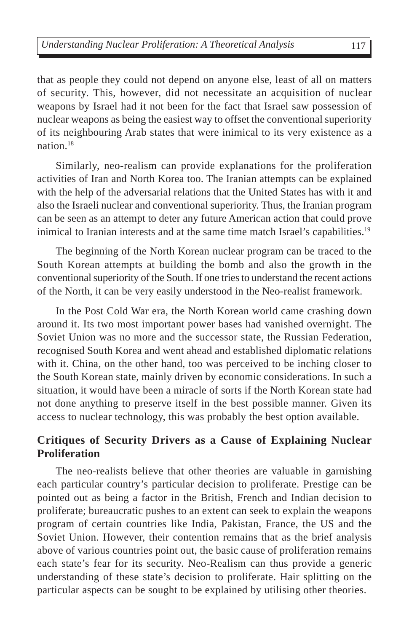that as people they could not depend on anyone else, least of all on matters of security. This, however, did not necessitate an acquisition of nuclear weapons by Israel had it not been for the fact that Israel saw possession of nuclear weapons as being the easiest way to offset the conventional superiority of its neighbouring Arab states that were inimical to its very existence as a nation $18$ 

Similarly, neo-realism can provide explanations for the proliferation activities of Iran and North Korea too. The Iranian attempts can be explained with the help of the adversarial relations that the United States has with it and also the Israeli nuclear and conventional superiority. Thus, the Iranian program can be seen as an attempt to deter any future American action that could prove inimical to Iranian interests and at the same time match Israel's capabilities.<sup>19</sup>

The beginning of the North Korean nuclear program can be traced to the South Korean attempts at building the bomb and also the growth in the conventional superiority of the South. If one tries to understand the recent actions of the North, it can be very easily understood in the Neo-realist framework.

In the Post Cold War era, the North Korean world came crashing down around it. Its two most important power bases had vanished overnight. The Soviet Union was no more and the successor state, the Russian Federation, recognised South Korea and went ahead and established diplomatic relations with it. China, on the other hand, too was perceived to be inching closer to the South Korean state, mainly driven by economic considerations. In such a situation, it would have been a miracle of sorts if the North Korean state had not done anything to preserve itself in the best possible manner. Given its access to nuclear technology, this was probably the best option available.

#### **Critiques of Security Drivers as a Cause of Explaining Nuclear Proliferation**

The neo-realists believe that other theories are valuable in garnishing each particular country's particular decision to proliferate. Prestige can be pointed out as being a factor in the British, French and Indian decision to proliferate; bureaucratic pushes to an extent can seek to explain the weapons program of certain countries like India, Pakistan, France, the US and the Soviet Union. However, their contention remains that as the brief analysis above of various countries point out, the basic cause of proliferation remains each state's fear for its security. Neo-Realism can thus provide a generic understanding of these state's decision to proliferate. Hair splitting on the particular aspects can be sought to be explained by utilising other theories.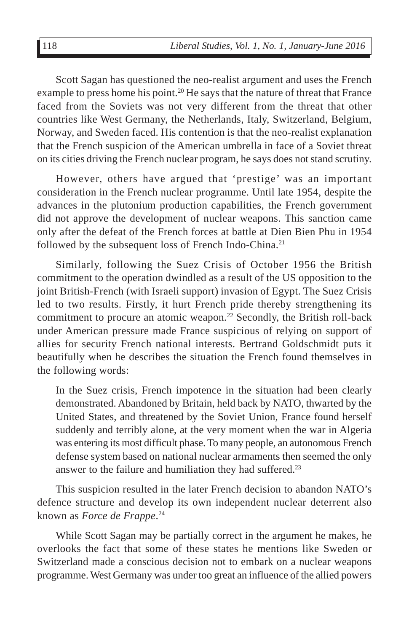Scott Sagan has questioned the neo-realist argument and uses the French example to press home his point.<sup>20</sup> He says that the nature of threat that France faced from the Soviets was not very different from the threat that other countries like West Germany, the Netherlands, Italy, Switzerland, Belgium, Norway, and Sweden faced. His contention is that the neo-realist explanation that the French suspicion of the American umbrella in face of a Soviet threat on its cities driving the French nuclear program, he says does not stand scrutiny.

However, others have argued that 'prestige' was an important consideration in the French nuclear programme. Until late 1954, despite the advances in the plutonium production capabilities, the French government did not approve the development of nuclear weapons. This sanction came only after the defeat of the French forces at battle at Dien Bien Phu in 1954 followed by the subsequent loss of French Indo-China.<sup>21</sup>

Similarly, following the Suez Crisis of October 1956 the British commitment to the operation dwindled as a result of the US opposition to the joint British-French (with Israeli support) invasion of Egypt. The Suez Crisis led to two results. Firstly, it hurt French pride thereby strengthening its commitment to procure an atomic weapon.<sup>22</sup> Secondly, the British roll-back under American pressure made France suspicious of relying on support of allies for security French national interests. Bertrand Goldschmidt puts it beautifully when he describes the situation the French found themselves in the following words:

In the Suez crisis, French impotence in the situation had been clearly demonstrated. Abandoned by Britain, held back by NATO, thwarted by the United States, and threatened by the Soviet Union, France found herself suddenly and terribly alone, at the very moment when the war in Algeria was entering its most difficult phase. To many people, an autonomous French defense system based on national nuclear armaments then seemed the only answer to the failure and humiliation they had suffered.<sup>23</sup>

This suspicion resulted in the later French decision to abandon NATO's defence structure and develop its own independent nuclear deterrent also known as *Force de Frappe*. 24

While Scott Sagan may be partially correct in the argument he makes, he overlooks the fact that some of these states he mentions like Sweden or Switzerland made a conscious decision not to embark on a nuclear weapons programme. West Germany was under too great an influence of the allied powers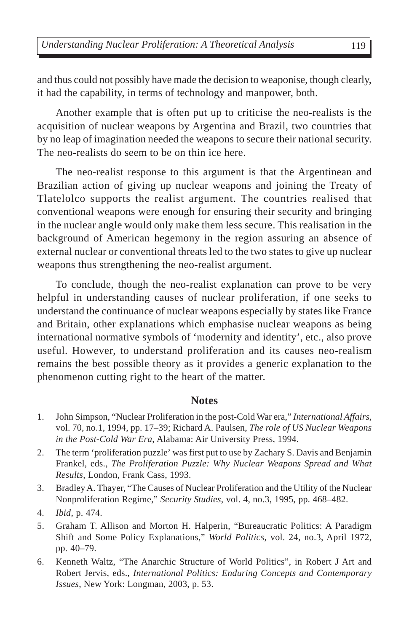and thus could not possibly have made the decision to weaponise, though clearly, it had the capability, in terms of technology and manpower, both.

Another example that is often put up to criticise the neo-realists is the acquisition of nuclear weapons by Argentina and Brazil, two countries that by no leap of imagination needed the weapons to secure their national security. The neo-realists do seem to be on thin ice here.

The neo-realist response to this argument is that the Argentinean and Brazilian action of giving up nuclear weapons and joining the Treaty of Tlatelolco supports the realist argument. The countries realised that conventional weapons were enough for ensuring their security and bringing in the nuclear angle would only make them less secure. This realisation in the background of American hegemony in the region assuring an absence of external nuclear or conventional threats led to the two states to give up nuclear weapons thus strengthening the neo-realist argument.

To conclude, though the neo-realist explanation can prove to be very helpful in understanding causes of nuclear proliferation, if one seeks to understand the continuance of nuclear weapons especially by states like France and Britain, other explanations which emphasise nuclear weapons as being international normative symbols of 'modernity and identity', etc., also prove useful. However, to understand proliferation and its causes neo-realism remains the best possible theory as it provides a generic explanation to the phenomenon cutting right to the heart of the matter.

#### **Notes**

- 1. John Simpson, "Nuclear Proliferation in the post-Cold War era," *International Affairs*, vol. 70, no.1, 1994, pp. 17–39; Richard A. Paulsen, *The role of US Nuclear Weapons in the Post-Cold War Era*, Alabama: Air University Press, 1994.
- 2. The term 'proliferation puzzle' was first put to use by Zachary S. Davis and Benjamin Frankel, eds., *The Proliferation Puzzle: Why Nuclear Weapons Spread and What Results*, London, Frank Cass, 1993.
- 3. Bradley A. Thayer, "The Causes of Nuclear Proliferation and the Utility of the Nuclear Nonproliferation Regime," *Security Studies*, vol. 4, no.3, 1995, pp. 468–482.
- 4. *Ibid*, p. 474.
- 5. Graham T. Allison and Morton H. Halperin, "Bureaucratic Politics: A Paradigm Shift and Some Policy Explanations," *World Politics*, vol. 24, no.3, April 1972, pp. 40–79.
- 6. Kenneth Waltz, "The Anarchic Structure of World Politics", in Robert J Art and Robert Jervis, eds., *International Politics: Enduring Concepts and Contemporary Issues*, New York: Longman, 2003, p. 53.